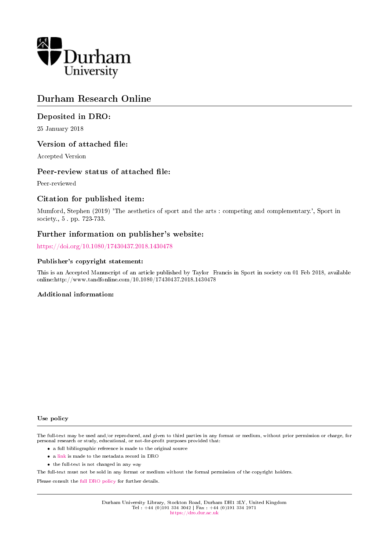

# Durham Research Online

# Deposited in DRO:

25 January 2018

# Version of attached file:

Accepted Version

# Peer-review status of attached file:

Peer-reviewed

# Citation for published item:

Mumford, Stephen (2019) 'The aesthetics of sport and the arts : competing and complementary.', Sport in society., 5 . pp. 723-733.

# Further information on publisher's website:

<https://doi.org/10.1080/17430437.2018.1430478>

## Publisher's copyright statement:

This is an Accepted Manuscript of an article published by Taylor Francis in Sport in society on 01 Feb 2018, available online:http://www.tandfonline.com/10.1080/17430437.2018.1430478

## Additional information:

#### Use policy

The full-text may be used and/or reproduced, and given to third parties in any format or medium, without prior permission or charge, for personal research or study, educational, or not-for-profit purposes provided that:

- a full bibliographic reference is made to the original source
- a [link](http://dro.dur.ac.uk/23961/) is made to the metadata record in DRO
- the full-text is not changed in any way

The full-text must not be sold in any format or medium without the formal permission of the copyright holders.

Please consult the [full DRO policy](https://dro.dur.ac.uk/policies/usepolicy.pdf) for further details.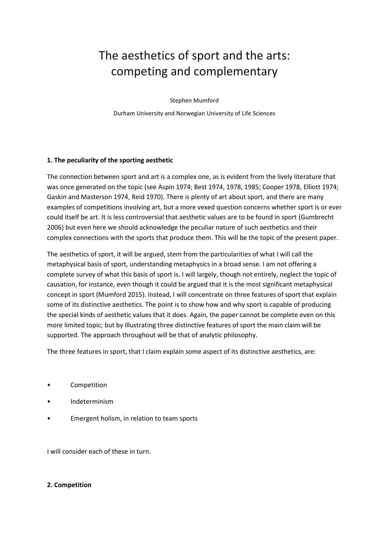# The aesthetics of sport and the arts: competing and complementary

Stephen Mumford

Durham University and Norwegian University of Life Sciences

## **1. The peculiarity of the sporting aesthetic**

The connection between sport and art is a complex one, as is evident from the lively literature that was once generated on the topic (see Aspin 1974; Best 1974, 1978, 1985; Cooper 1978, Elliott 1974; Gaskin and Masterson 1974, Reid 1970). There is plenty of art about sport, and there are many examples of competitions involving art, but a more vexed question concerns whether sport is or ever could itself be art. It is less controversial that aesthetic values are to be found in sport (Gumbrecht 2006) but even here we should acknowledge the peculiar nature of such aesthetics and their complex connections with the sports that produce them. This will be the topic of the present paper.

The aesthetics of sport, it will be argued, stem from the particularities of what I will call the metaphysical basis of sport, understanding metaphysics in a broad sense. I am not offering a complete survey of what this basis of sport is. I will largely, though not entirely, neglect the topic of causation, for instance, even though it could be argued that it is the most significant metaphysical concept in sport (Mumford 2015). Instead, I will concentrate on three features of sport that explain some of its distinctive aesthetics. The point is to show how and why sport is capable of producing the special kinds of aesthetic values that it does. Again, the paper cannot be complete even on this more limited topic; but by illustrating three distinctive features of sport the main claim will be supported. The approach throughout will be that of analytic philosophy.

The three features in sport, that I claim explain some aspect of its distinctive aesthetics, are:

- **Competition**
- Indeterminism
- Emergent holism, in relation to team sports

I will consider each of these in turn.

#### **2. Competition**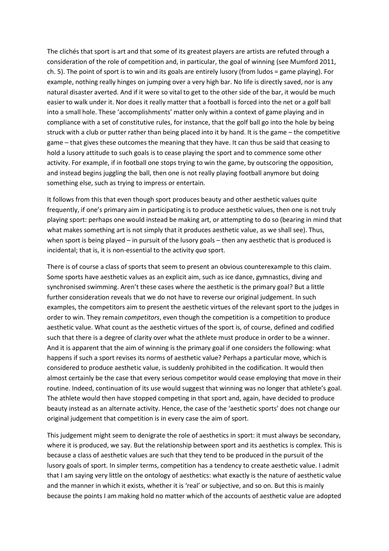The clichés that sport is art and that some of its greatest players are artists are refuted through a consideration of the role of competition and, in particular, the goal of winning (see Mumford 2011, ch. 5). The point of sport is to win and its goals are entirely lusory (from ludos = game playing). For example, nothing really hinges on jumping over a very high bar. No life is directly saved, nor is any natural disaster averted. And if it were so vital to get to the other side of the bar, it would be much easier to walk under it. Nor does it really matter that a football is forced into the net or a golf ball into a small hole. These 'accomplishments' matter only within a context of game playing and in compliance with a set of constitutive rules, for instance, that the golf ball go into the hole by being struck with a club or putter rather than being placed into it by hand. It is the game – the competitive game – that gives these outcomes the meaning that they have. It can thus be said that ceasing to hold a lusory attitude to such goals is to cease playing the sport and to commence some other activity. For example, if in football one stops trying to win the game, by outscoring the opposition, and instead begins juggling the ball, then one is not really playing football anymore but doing something else, such as trying to impress or entertain.

It follows from this that even though sport produces beauty and other aesthetic values quite frequently, if one's primary aim in participating is to produce aesthetic values, then one is not truly playing sport: perhaps one would instead be making art, or attempting to do so (bearing in mind that what makes something art is not simply that it produces aesthetic value, as we shall see). Thus, when sport is being played – in pursuit of the lusory goals – then any aesthetic that is produced is incidental; that is, it is non-essential to the activity *qua* sport.

There is of course a class of sports that seem to present an obvious counterexample to this claim. Some sports have aesthetic values as an explicit aim, such as ice dance, gymnastics, diving and synchronised swimming. Aren't these cases where the aesthetic is the primary goal? But a little further consideration reveals that we do not have to reverse our original judgement. In such examples, the competitors aim to present the aesthetic virtues of the relevant sport to the judges in order to win. They remain *competitors*, even though the competition is a competition to produce aesthetic value. What count as the aesthetic virtues of the sport is, of course, defined and codified such that there is a degree of clarity over what the athlete must produce in order to be a winner. And it is apparent that the aim of winning is the primary goal if one considers the following: what happens if such a sport revises its norms of aesthetic value? Perhaps a particular move, which is considered to produce aesthetic value, is suddenly prohibited in the codification. It would then almost certainly be the case that every serious competitor would cease employing that move in their routine. Indeed, continuation of its use would suggest that winning was no longer that athlete's goal. The athlete would then have stopped competing in that sport and, again, have decided to produce beauty instead as an alternate activity. Hence, the case of the 'aesthetic sports' does not change our original judgement that competition is in every case the aim of sport.

This judgement might seem to denigrate the role of aesthetics in sport: it must always be secondary, where it is produced, we say. But the relationship between sport and its aesthetics is complex. This is because a class of aesthetic values are such that they tend to be produced in the pursuit of the lusory goals of sport. In simpler terms, competition has a tendency to create aesthetic value. I admit that I am saying very little on the ontology of aesthetics: what exactly is the nature of aesthetic value and the manner in which it exists, whether it is 'real' or subjective, and so on. But this is mainly because the points I am making hold no matter which of the accounts of aesthetic value are adopted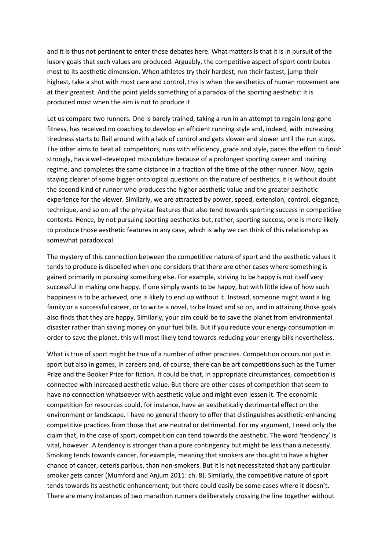and it is thus not pertinent to enter those debates here. What matters is that it is in pursuit of the lusory goals that such values are produced. Arguably, the competitive aspect of sport contributes most to its aesthetic dimension. When athletes try their hardest, run their fastest, jump their highest, take a shot with most care and control, this is when the aesthetics of human movement are at their greatest. And the point yields something of a paradox of the sporting aesthetic: it is produced most when the aim is not to produce it.

Let us compare two runners. One is barely trained, taking a run in an attempt to regain long-gone fitness, has received no coaching to develop an efficient running style and, indeed, with increasing tiredness starts to flail around with a lack of control and gets slower and slower until the run stops. The other aims to beat all competitors, runs with efficiency, grace and style, paces the effort to finish strongly, has a well-developed musculature because of a prolonged sporting career and training regime, and completes the same distance in a fraction of the time of the other runner. Now, again staying clearer of some bigger ontological questions on the nature of aesthetics, it is without doubt the second kind of runner who produces the higher aesthetic value and the greater aesthetic experience for the viewer. Similarly, we are attracted by power, speed, extension, control, elegance, technique, and so on: all the physical features that also tend towards sporting success in competitive contexts. Hence, by not pursuing sporting aesthetics but, rather, sporting success, one is more likely to produce those aesthetic features in any case, which is why we can think of this relationship as somewhat paradoxical.

The mystery of this connection between the competitive nature of sport and the aesthetic values it tends to produce is dispelled when one considers that there are other cases where something is gained primarily in pursuing something else. For example, striving to be happy is not itself very successful in making one happy. If one simply wants to be happy, but with little idea of how such happiness is to be achieved, one is likely to end up without it. Instead, someone might want a big family or a successful career, or to write a novel, to be loved and so on, and in attaining those goals also finds that they are happy. Similarly, your aim could be to save the planet from environmental disaster rather than saving money on your fuel bills. But if you reduce your energy consumption in order to save the planet, this will most likely tend towards reducing your energy bills nevertheless.

What is true of sport might be true of a number of other practices. Competition occurs not just in sport but also in games, in careers and, of course, there can be art competitions such as the Turner Prize and the Booker Prize for fiction. It could be that, in appropriate circumstances, competition is connected with increased aesthetic value. But there are other cases of competition that seem to have no connection whatsoever with aesthetic value and might even lessen it. The economic competition for resources could, for instance, have an aesthetically detrimental effect on the environment or landscape. I have no general theory to offer that distinguishes aesthetic-enhancing competitive practices from those that are neutral or detrimental. For my argument, I need only the claim that, in the case of sport, competition can tend towards the aesthetic. The word 'tendency' is vital, however. A tendency is stronger than a pure contingency but might be less than a necessity. Smoking tends towards cancer, for example, meaning that smokers are thought to have a higher chance of cancer, ceteris paribus, than non-smokers. But it is not necessitated that any particular smoker gets cancer (Mumford and Anjum 2011: ch. 8). Similarly, the competitive nature of sport tends towards its aesthetic enhancement; but there could easily be some cases where it doesn't. There are many instances of two marathon runners deliberately crossing the line together without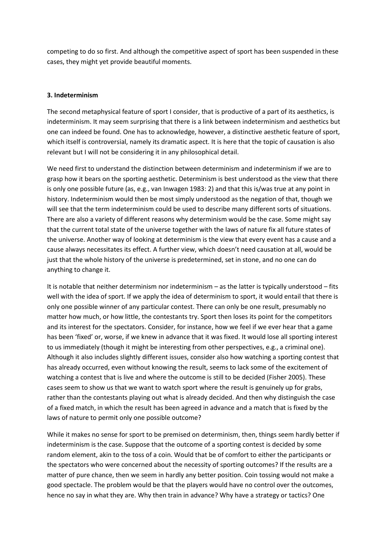competing to do so first. And although the competitive aspect of sport has been suspended in these cases, they might yet provide beautiful moments.

# **3. Indeterminism**

The second metaphysical feature of sport I consider, that is productive of a part of its aesthetics, is indeterminism. It may seem surprising that there is a link between indeterminism and aesthetics but one can indeed be found. One has to acknowledge, however, a distinctive aesthetic feature of sport, which itself is controversial, namely its dramatic aspect. It is here that the topic of causation is also relevant but I will not be considering it in any philosophical detail.

We need first to understand the distinction between determinism and indeterminism if we are to grasp how it bears on the sporting aesthetic. Determinism is best understood as the view that there is only one possible future (as, e.g., van Inwagen 1983: 2) and that this is/was true at any point in history. Indeterminism would then be most simply understood as the negation of that, though we will see that the term indeterminism could be used to describe many different sorts of situations. There are also a variety of different reasons why determinism would be the case. Some might say that the current total state of the universe together with the laws of nature fix all future states of the universe. Another way of looking at determinism is the view that every event has a cause and a cause always necessitates its effect. A further view, which doesn't need causation at all, would be just that the whole history of the universe is predetermined, set in stone, and no one can do anything to change it.

It is notable that neither determinism nor indeterminism – as the latter is typically understood – fits well with the idea of sport. If we apply the idea of determinism to sport, it would entail that there is only one possible winner of any particular contest. There can only be one result, presumably no matter how much, or how little, the contestants try. Sport then loses its point for the competitors and its interest for the spectators. Consider, for instance, how we feel if we ever hear that a game has been 'fixed' or, worse, if we knew in advance that it was fixed. It would lose all sporting interest to us immediately (though it might be interesting from other perspectives, e.g., a criminal one). Although it also includes slightly different issues, consider also how watching a sporting contest that has already occurred, even without knowing the result, seems to lack some of the excitement of watching a contest that is live and where the outcome is still to be decided (Fisher 2005). These cases seem to show us that we want to watch sport where the result is genuinely up for grabs, rather than the contestants playing out what is already decided. And then why distinguish the case of a fixed match, in which the result has been agreed in advance and a match that is fixed by the laws of nature to permit only one possible outcome?

While it makes no sense for sport to be premised on determinism, then, things seem hardly better if indeterminism is the case. Suppose that the outcome of a sporting contest is decided by some random element, akin to the toss of a coin. Would that be of comfort to either the participants or the spectators who were concerned about the necessity of sporting outcomes? If the results are a matter of pure chance, then we seem in hardly any better position. Coin tossing would not make a good spectacle. The problem would be that the players would have no control over the outcomes, hence no say in what they are. Why then train in advance? Why have a strategy or tactics? One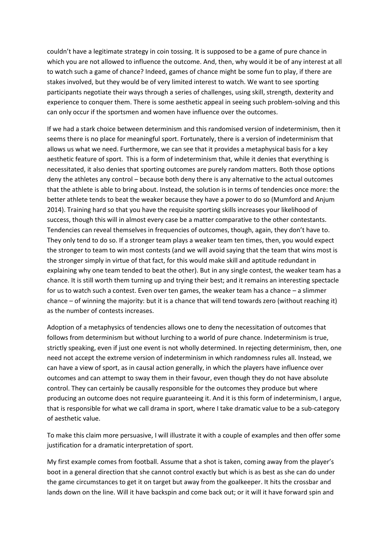couldn't have a legitimate strategy in coin tossing. It is supposed to be a game of pure chance in which you are not allowed to influence the outcome. And, then, why would it be of any interest at all to watch such a game of chance? Indeed, games of chance might be some fun to play, if there are stakes involved, but they would be of very limited interest to watch. We want to see sporting participants negotiate their ways through a series of challenges, using skill, strength, dexterity and experience to conquer them. There is some aesthetic appeal in seeing such problem-solving and this can only occur if the sportsmen and women have influence over the outcomes.

If we had a stark choice between determinism and this randomised version of indeterminism, then it seems there is no place for meaningful sport. Fortunately, there is a version of indeterminism that allows us what we need. Furthermore, we can see that it provides a metaphysical basis for a key aesthetic feature of sport. This is a form of indeterminism that, while it denies that everything is necessitated, it also denies that sporting outcomes are purely random matters. Both those options deny the athletes any control – because both deny there is any alternative to the actual outcomes that the athlete is able to bring about. Instead, the solution is in terms of tendencies once more: the better athlete tends to beat the weaker because they have a power to do so (Mumford and Anjum 2014). Training hard so that you have the requisite sporting skills increases your likelihood of success, though this will in almost every case be a matter comparative to the other contestants. Tendencies can reveal themselves in frequencies of outcomes, though, again, they don't have to. They only tend to do so. If a stronger team plays a weaker team ten times, then, you would expect the stronger to team to win most contests (and we will avoid saying that the team that wins most is the stronger simply in virtue of that fact, for this would make skill and aptitude redundant in explaining why one team tended to beat the other). But in any single contest, the weaker team has a chance. It is still worth them turning up and trying their best; and it remains an interesting spectacle for us to watch such a contest. Even over ten games, the weaker team has a chance – a slimmer chance – of winning the majority: but it is a chance that will tend towards zero (without reaching it) as the number of contests increases.

Adoption of a metaphysics of tendencies allows one to deny the necessitation of outcomes that follows from determinism but without lurching to a world of pure chance. Indeterminism is true, strictly speaking, even if just one event is not wholly determined. In rejecting determinism, then, one need not accept the extreme version of indeterminism in which randomness rules all. Instead, we can have a view of sport, as in causal action generally, in which the players have influence over outcomes and can attempt to sway them in their favour, even though they do not have absolute control. They can certainly be causally responsible for the outcomes they produce but where producing an outcome does not require guaranteeing it. And it is this form of indeterminism, I argue, that is responsible for what we call drama in sport, where I take dramatic value to be a sub-category of aesthetic value.

To make this claim more persuasive, I will illustrate it with a couple of examples and then offer some justification for a dramatic interpretation of sport.

My first example comes from football. Assume that a shot is taken, coming away from the player's boot in a general direction that she cannot control exactly but which is as best as she can do under the game circumstances to get it on target but away from the goalkeeper. It hits the crossbar and lands down on the line. Will it have backspin and come back out; or it will it have forward spin and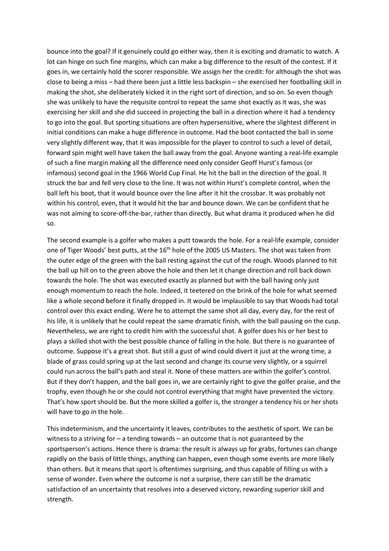bounce into the goal? If it genuinely could go either way, then it is exciting and dramatic to watch. A lot can hinge on such fine margins, which can make a big difference to the result of the contest. If it goes in, we certainly hold the scorer responsible. We assign her the credit: for although the shot was close to being a miss – had there been just a little less backspin – she exercised her footballing skill in making the shot, she deliberately kicked it in the right sort of direction, and so on. So even though she was unlikely to have the requisite control to repeat the same shot exactly as it was, she was exercising her skill and she did succeed in projecting the ball in a direction where it had a tendency to go into the goal. But sporting situations are often hypersensitive, where the slightest different in initial conditions can make a huge difference in outcome. Had the boot contacted the ball in some very slightly different way, that it was impossible for the player to control to such a level of detail, forward spin might well have taken the ball away from the goal. Anyone wanting a real-life example of such a fine margin making all the difference need only consider Geoff Hurst's famous (or infamous) second goal in the 1966 World Cup Final. He hit the ball in the direction of the goal. It struck the bar and fell very close to the line. It was not within Hurst's complete control, when the ball left his boot, that it would bounce over the line after it hit the crossbar. It was probably not within his control, even, that it would hit the bar and bounce down. We can be confident that he was not aiming to score-off-the-bar, rather than directly. But what drama it produced when he did so.

The second example is a golfer who makes a putt towards the hole. For a real-life example, consider one of Tiger Woods' best putts, at the 16<sup>th</sup> hole of the 2005 US Masters. The shot was taken from the outer edge of the green with the ball resting against the cut of the rough. Woods planned to hit the ball up hill on to the green above the hole and then let it change direction and roll back down towards the hole. The shot was executed exactly as planned but with the ball having only just enough momentum to reach the hole. Indeed, it teetered on the brink of the hole for what seemed like a whole second before it finally dropped in. It would be implausible to say that Woods had total control over this exact ending. Were he to attempt the same shot all day, every day, for the rest of his life, it is unlikely that he could repeat the same dramatic finish, with the ball pausing on the cusp. Nevertheless, we are right to credit him with the successful shot. A golfer does his or her best to plays a skilled shot with the best possible chance of falling in the hole. But there is no guarantee of outcome. Suppose it's a great shot. But still a gust of wind could divert it just at the wrong time, a blade of grass could spring up at the last second and change its course very slightly, or a squirrel could run across the ball's path and steal it. None of these matters are within the golfer's control. But if they don't happen, and the ball goes in, we are certainly right to give the golfer praise, and the trophy, even though he or she could not control everything that might have prevented the victory. That's how sport should be. But the more skilled a golfer is, the stronger a tendency his or her shots will have to go in the hole.

This indeterminism, and the uncertainty it leaves, contributes to the aesthetic of sport. We can be witness to a striving for – a tending towards – an outcome that is not guaranteed by the sportsperson's actions. Hence there is drama: the result is always up for grabs, fortunes can change rapidly on the basis of little things, anything can happen, even though some events are more likely than others. But it means that sport is oftentimes surprising, and thus capable of filling us with a sense of wonder. Even where the outcome is not a surprise, there can still be the dramatic satisfaction of an uncertainty that resolves into a deserved victory, rewarding superior skill and strength.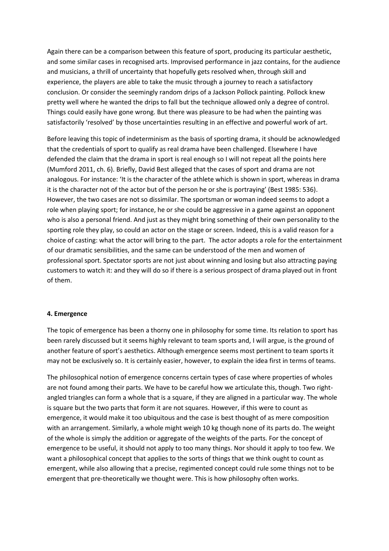Again there can be a comparison between this feature of sport, producing its particular aesthetic, and some similar cases in recognised arts. Improvised performance in jazz contains, for the audience and musicians, a thrill of uncertainty that hopefully gets resolved when, through skill and experience, the players are able to take the music through a journey to reach a satisfactory conclusion. Or consider the seemingly random drips of a Jackson Pollock painting. Pollock knew pretty well where he wanted the drips to fall but the technique allowed only a degree of control. Things could easily have gone wrong. But there was pleasure to be had when the painting was satisfactorily 'resolved' by those uncertainties resulting in an effective and powerful work of art.

Before leaving this topic of indeterminism as the basis of sporting drama, it should be acknowledged that the credentials of sport to qualify as real drama have been challenged. Elsewhere I have defended the claim that the drama in sport is real enough so I will not repeat all the points here (Mumford 2011, ch. 6). Briefly, David Best alleged that the cases of sport and drama are not analogous. For instance: 'It is the character of the athlete which is shown in sport, whereas in drama it is the character not of the actor but of the person he or she is portraying' (Best 1985: 536). However, the two cases are not so dissimilar. The sportsman or woman indeed seems to adopt a role when playing sport; for instance, he or she could be aggressive in a game against an opponent who is also a personal friend. And just as they might bring something of their own personality to the sporting role they play, so could an actor on the stage or screen. Indeed, this is a valid reason for a choice of casting: what the actor will bring to the part. The actor adopts a role for the entertainment of our dramatic sensibilities, and the same can be understood of the men and women of professional sport. Spectator sports are not just about winning and losing but also attracting paying customers to watch it: and they will do so if there is a serious prospect of drama played out in front of them.

## **4. Emergence**

The topic of emergence has been a thorny one in philosophy for some time. Its relation to sport has been rarely discussed but it seems highly relevant to team sports and, I will argue, is the ground of another feature of sport's aesthetics. Although emergence seems most pertinent to team sports it may not be exclusively so. It is certainly easier, however, to explain the idea first in terms of teams.

The philosophical notion of emergence concerns certain types of case where properties of wholes are not found among their parts. We have to be careful how we articulate this, though. Two rightangled triangles can form a whole that is a square, if they are aligned in a particular way. The whole is square but the two parts that form it are not squares. However, if this were to count as emergence, it would make it too ubiquitous and the case is best thought of as mere composition with an arrangement. Similarly, a whole might weigh 10 kg though none of its parts do. The weight of the whole is simply the addition or aggregate of the weights of the parts. For the concept of emergence to be useful, it should not apply to too many things. Nor should it apply to too few. We want a philosophical concept that applies to the sorts of things that we think ought to count as emergent, while also allowing that a precise, regimented concept could rule some things not to be emergent that pre-theoretically we thought were. This is how philosophy often works.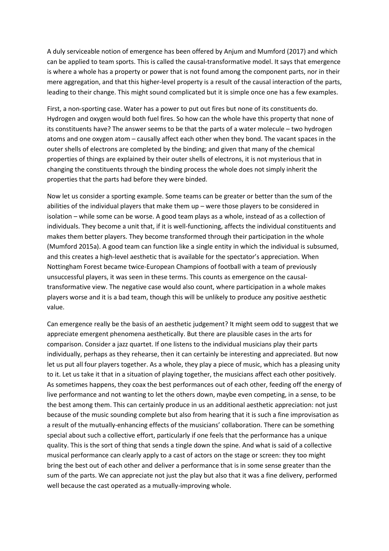A duly serviceable notion of emergence has been offered by Anjum and Mumford (2017) and which can be applied to team sports. This is called the causal-transformative model. It says that emergence is where a whole has a property or power that is not found among the component parts, nor in their mere aggregation, and that this higher-level property is a result of the causal interaction of the parts, leading to their change. This might sound complicated but it is simple once one has a few examples.

First, a non-sporting case. Water has a power to put out fires but none of its constituents do. Hydrogen and oxygen would both fuel fires. So how can the whole have this property that none of its constituents have? The answer seems to be that the parts of a water molecule – two hydrogen atoms and one oxygen atom – causally affect each other when they bond. The vacant spaces in the outer shells of electrons are completed by the binding; and given that many of the chemical properties of things are explained by their outer shells of electrons, it is not mysterious that in changing the constituents through the binding process the whole does not simply inherit the properties that the parts had before they were binded.

Now let us consider a sporting example. Some teams can be greater or better than the sum of the abilities of the individual players that make them up – were those players to be considered in isolation – while some can be worse. A good team plays as a whole, instead of as a collection of individuals. They become a unit that, if it is well-functioning, affects the individual constituents and makes them better players. They become transformed through their participation in the whole (Mumford 2015a). A good team can function like a single entity in which the individual is subsumed, and this creates a high-level aesthetic that is available for the spectator's appreciation. When Nottingham Forest became twice-European Champions of football with a team of previously unsuccessful players, it was seen in these terms. This counts as emergence on the causaltransformative view. The negative case would also count, where participation in a whole makes players worse and it is a bad team, though this will be unlikely to produce any positive aesthetic value.

Can emergence really be the basis of an aesthetic judgement? It might seem odd to suggest that we appreciate emergent phenomena aesthetically. But there are plausible cases in the arts for comparison. Consider a jazz quartet. If one listens to the individual musicians play their parts individually, perhaps as they rehearse, then it can certainly be interesting and appreciated. But now let us put all four players together. As a whole, they play a piece of music, which has a pleasing unity to it. Let us take it that in a situation of playing together, the musicians affect each other positively. As sometimes happens, they coax the best performances out of each other, feeding off the energy of live performance and not wanting to let the others down, maybe even competing, in a sense, to be the best among them. This can certainly produce in us an additional aesthetic appreciation: not just because of the music sounding complete but also from hearing that it is such a fine improvisation as a result of the mutually-enhancing effects of the musicians' collaboration. There can be something special about such a collective effort, particularly if one feels that the performance has a unique quality. This is the sort of thing that sends a tingle down the spine. And what is said of a collective musical performance can clearly apply to a cast of actors on the stage or screen: they too might bring the best out of each other and deliver a performance that is in some sense greater than the sum of the parts. We can appreciate not just the play but also that it was a fine delivery, performed well because the cast operated as a mutually-improving whole.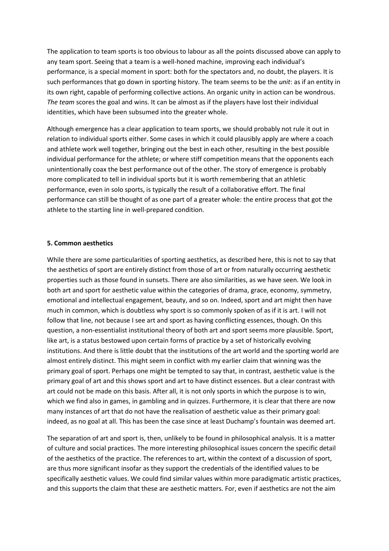The application to team sports is too obvious to labour as all the points discussed above can apply to any team sport. Seeing that a team is a well-honed machine, improving each individual's performance, is a special moment in sport: both for the spectators and, no doubt, the players. It is such performances that go down in sporting history. The team seems to be the *unit*: as if an entity in its own right, capable of performing collective actions. An organic unity in action can be wondrous. *The team* scores the goal and wins. It can be almost as if the players have lost their individual identities, which have been subsumed into the greater whole.

Although emergence has a clear application to team sports, we should probably not rule it out in relation to individual sports either. Some cases in which it could plausibly apply are where a coach and athlete work well together, bringing out the best in each other, resulting in the best possible individual performance for the athlete; or where stiff competition means that the opponents each unintentionally coax the best performance out of the other. The story of emergence is probably more complicated to tell in individual sports but it is worth remembering that an athletic performance, even in solo sports, is typically the result of a collaborative effort. The final performance can still be thought of as one part of a greater whole: the entire process that got the athlete to the starting line in well-prepared condition.

## **5. Common aesthetics**

While there are some particularities of sporting aesthetics, as described here, this is not to say that the aesthetics of sport are entirely distinct from those of art or from naturally occurring aesthetic properties such as those found in sunsets. There are also similarities, as we have seen. We look in both art and sport for aesthetic value within the categories of drama, grace, economy, symmetry, emotional and intellectual engagement, beauty, and so on. Indeed, sport and art might then have much in common, which is doubtless why sport is so commonly spoken of as if it is art. I will not follow that line, not because I see art and sport as having conflicting essences, though. On this question, a non-essentialist institutional theory of both art and sport seems more plausible. Sport, like art, is a status bestowed upon certain forms of practice by a set of historically evolving institutions. And there is little doubt that the institutions of the art world and the sporting world are almost entirely distinct. This might seem in conflict with my earlier claim that winning was the primary goal of sport. Perhaps one might be tempted to say that, in contrast, aesthetic value is the primary goal of art and this shows sport and art to have distinct essences. But a clear contrast with art could not be made on this basis. After all, it is not only sports in which the purpose is to win, which we find also in games, in gambling and in quizzes. Furthermore, it is clear that there are now many instances of art that do not have the realisation of aesthetic value as their primary goal: indeed, as no goal at all. This has been the case since at least Duchamp's fountain was deemed art.

The separation of art and sport is, then, unlikely to be found in philosophical analysis. It is a matter of culture and social practices. The more interesting philosophical issues concern the specific detail of the aesthetics of the practice. The references to art, within the context of a discussion of sport, are thus more significant insofar as they support the credentials of the identified values to be specifically aesthetic values. We could find similar values within more paradigmatic artistic practices, and this supports the claim that these are aesthetic matters. For, even if aesthetics are not the aim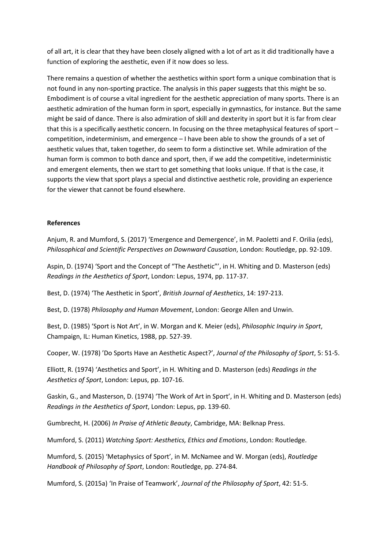of all art, it is clear that they have been closely aligned with a lot of art as it did traditionally have a function of exploring the aesthetic, even if it now does so less.

There remains a question of whether the aesthetics within sport form a unique combination that is not found in any non-sporting practice. The analysis in this paper suggests that this might be so. Embodiment is of course a vital ingredient for the aesthetic appreciation of many sports. There is an aesthetic admiration of the human form in sport, especially in gymnastics, for instance. But the same might be said of dance. There is also admiration of skill and dexterity in sport but it is far from clear that this is a specifically aesthetic concern. In focusing on the three metaphysical features of sport – competition, indeterminism, and emergence – I have been able to show the grounds of a set of aesthetic values that, taken together, do seem to form a distinctive set. While admiration of the human form is common to both dance and sport, then, if we add the competitive, indeterministic and emergent elements, then we start to get something that looks unique. If that is the case, it supports the view that sport plays a special and distinctive aesthetic role, providing an experience for the viewer that cannot be found elsewhere.

## **References**

Anjum, R. and Mumford, S. (2017) 'Emergence and Demergence', in M. Paoletti and F. Orilia (eds), *Philosophical and Scientific Perspectives on Downward Causation*, London: Routledge, pp. 92-109.

Aspin, D. (1974) 'Sport and the Concept of "The Aesthetic"', in H. Whiting and D. Masterson (eds) *Readings in the Aesthetics of Sport*, London: Lepus, 1974, pp. 117-37.

Best, D. (1974) 'The Aesthetic in Sport', *British Journal of Aesthetics*, 14: 197-213.

Best, D. (1978) *Philosophy and Human Movement*, London: George Allen and Unwin.

Best, D. (1985) 'Sport is Not Art', in W. Morgan and K. Meier (eds), *Philosophic Inquiry in Sport*, Champaign, IL: Human Kinetics, 1988, pp. 527-39.

Cooper, W. (1978) 'Do Sports Have an Aesthetic Aspect?', *Journal of the Philosophy of Sport*, 5: 51-5.

Elliott, R. (1974) 'Aesthetics and Sport', in H. Whiting and D. Masterson (eds) *Readings in the Aesthetics of Sport*, London: Lepus, pp. 107-16.

Gaskin, G., and Masterson, D. (1974) 'The Work of Art in Sport', in H. Whiting and D. Masterson (eds) *Readings in the Aesthetics of Sport*, London: Lepus, pp. 139-60.

Gumbrecht, H. (2006) *In Praise of Athletic Beauty*, Cambridge, MA: Belknap Press.

Mumford, S. (2011) *Watching Sport: Aesthetics, Ethics and Emotions*, London: Routledge.

Mumford, S. (2015) 'Metaphysics of Sport', in M. McNamee and W. Morgan (eds), *Routledge Handbook of Philosophy of Sport*, London: Routledge, pp. 274-84*.*

Mumford, S. (2015a) 'In Praise of Teamwork', *Journal of the Philosophy of Sport*, 42: 51-5.